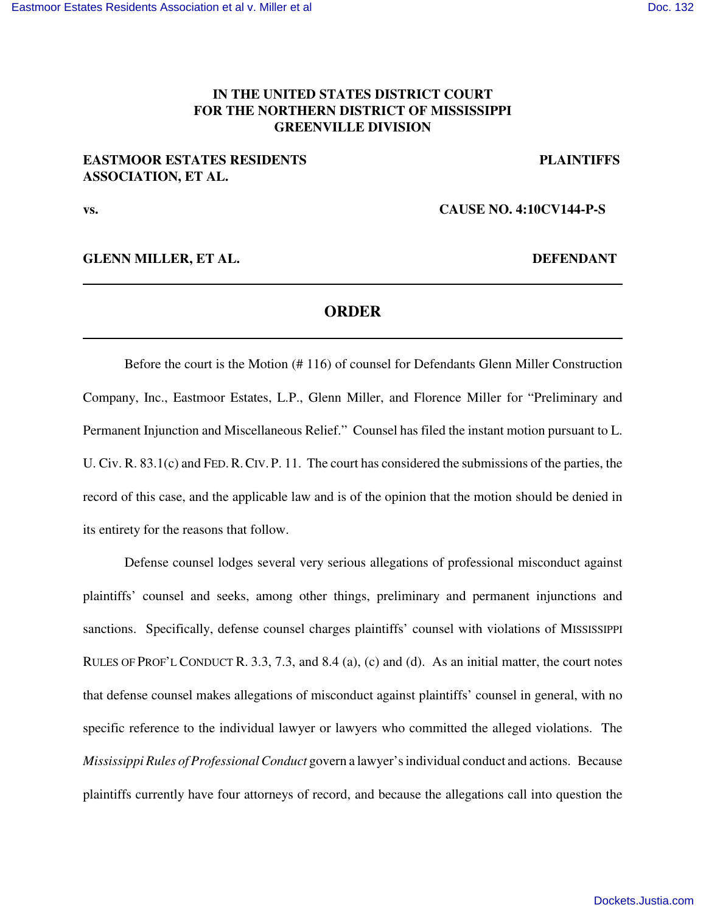# **IN THE UNITED STATES DISTRICT COURT FOR THE NORTHERN DISTRICT OF MISSISSIPPI GREENVILLE DIVISION**

# **EASTMOOR ESTATES RESIDENTS PLAINTIFFS ASSOCIATION, ET AL.**

**vs. CAUSE NO. 4:10CV144-P-S**

### **GLENN MILLER, ET AL. DEFENDANT**

# **ORDER**

Before the court is the Motion (# 116) of counsel for Defendants Glenn Miller Construction Company, Inc., Eastmoor Estates, L.P., Glenn Miller, and Florence Miller for "Preliminary and Permanent Injunction and Miscellaneous Relief." Counsel has filed the instant motion pursuant to L. U. Civ. R. 83.1(c) and FED.R.CIV. P. 11. The court has considered the submissions of the parties, the record of this case, and the applicable law and is of the opinion that the motion should be denied in its entirety for the reasons that follow.

Defense counsel lodges several very serious allegations of professional misconduct against plaintiffs' counsel and seeks, among other things, preliminary and permanent injunctions and sanctions. Specifically, defense counsel charges plaintiffs' counsel with violations of MISSISSIPPI RULES OF PROF'L CONDUCT R. 3.3, 7.3, and 8.4 (a), (c) and (d). As an initial matter, the court notes that defense counsel makes allegations of misconduct against plaintiffs' counsel in general, with no specific reference to the individual lawyer or lawyers who committed the alleged violations. The *Mississippi Rules ofProfessionalConduct* govern a lawyer'sindividual conduct and actions. Because plaintiffs currently have four attorneys of record, and because the allegations call into question the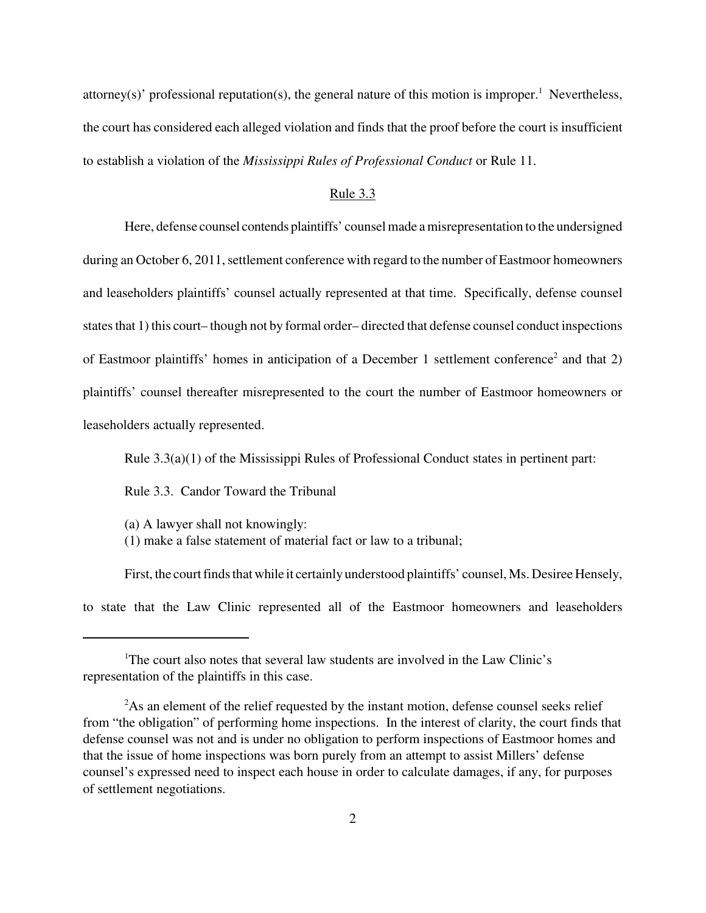attorney(s)' professional reputation(s), the general nature of this motion is improper.<sup>1</sup> Nevertheless, the court has considered each alleged violation and finds that the proof before the court is insufficient to establish a violation of the *Mississippi Rules of Professional Conduct* or Rule 11.

#### Rule 3.3

Here, defense counsel contends plaintiffs' counselmade amisrepresentation to the undersigned during an October 6, 2011, settlement conference with regard to the number of Eastmoor homeowners and leaseholders plaintiffs' counsel actually represented at that time. Specifically, defense counsel statesthat 1) this court– though not by formal order– directed that defense counsel conduct inspections of Eastmoor plaintiffs' homes in anticipation of a December 1 settlement conference<sup>2</sup> and that 2) plaintiffs' counsel thereafter misrepresented to the court the number of Eastmoor homeowners or leaseholders actually represented.

Rule 3.3(a)(1) of the Mississippi Rules of Professional Conduct states in pertinent part:

Rule 3.3. Candor Toward the Tribunal

(a) A lawyer shall not knowingly:

(1) make a false statement of material fact or law to a tribunal;

First, the court finds that while it certainly understood plaintiffs' counsel, Ms. Desiree Hensely,

to state that the Law Clinic represented all of the Eastmoor homeowners and leaseholders

<sup>&</sup>lt;sup>1</sup>The court also notes that several law students are involved in the Law Clinic's representation of the plaintiffs in this case.

<sup>&</sup>lt;sup>2</sup>As an element of the relief requested by the instant motion, defense counsel seeks relief from "the obligation" of performing home inspections. In the interest of clarity, the court finds that defense counsel was not and is under no obligation to perform inspections of Eastmoor homes and that the issue of home inspections was born purely from an attempt to assist Millers' defense counsel's expressed need to inspect each house in order to calculate damages, if any, for purposes of settlement negotiations.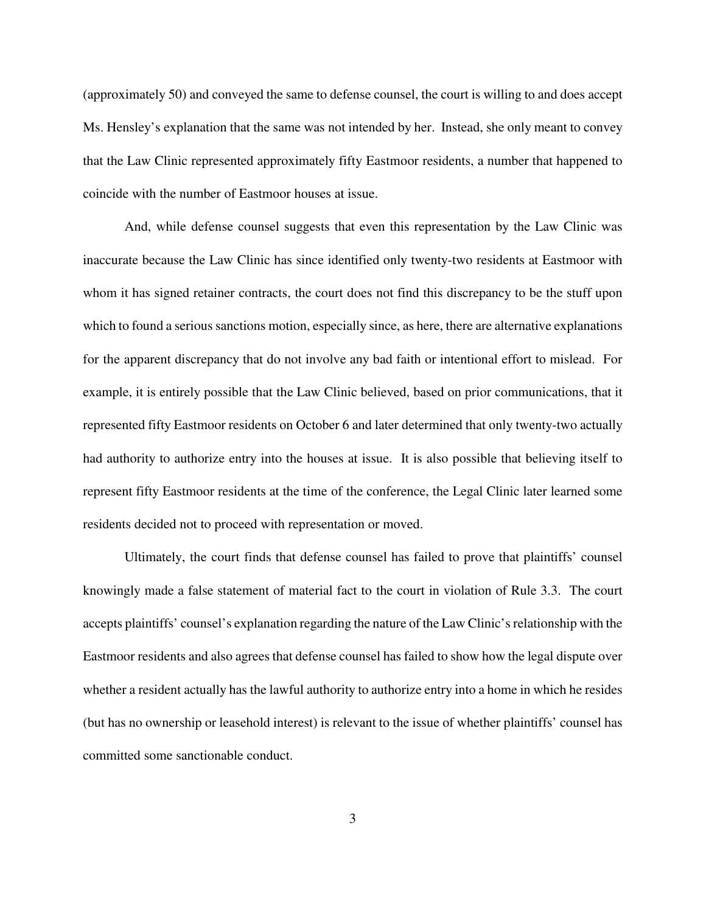(approximately 50) and conveyed the same to defense counsel, the court is willing to and does accept Ms. Hensley's explanation that the same was not intended by her. Instead, she only meant to convey that the Law Clinic represented approximately fifty Eastmoor residents, a number that happened to coincide with the number of Eastmoor houses at issue.

And, while defense counsel suggests that even this representation by the Law Clinic was inaccurate because the Law Clinic has since identified only twenty-two residents at Eastmoor with whom it has signed retainer contracts, the court does not find this discrepancy to be the stuff upon which to found a serious sanctions motion, especially since, as here, there are alternative explanations for the apparent discrepancy that do not involve any bad faith or intentional effort to mislead. For example, it is entirely possible that the Law Clinic believed, based on prior communications, that it represented fifty Eastmoor residents on October 6 and later determined that only twenty-two actually had authority to authorize entry into the houses at issue. It is also possible that believing itself to represent fifty Eastmoor residents at the time of the conference, the Legal Clinic later learned some residents decided not to proceed with representation or moved.

Ultimately, the court finds that defense counsel has failed to prove that plaintiffs' counsel knowingly made a false statement of material fact to the court in violation of Rule 3.3. The court accepts plaintiffs' counsel's explanation regarding the nature of the Law Clinic'srelationship with the Eastmoor residents and also agrees that defense counsel has failed to show how the legal dispute over whether a resident actually has the lawful authority to authorize entry into a home in which he resides (but has no ownership or leasehold interest) is relevant to the issue of whether plaintiffs' counsel has committed some sanctionable conduct.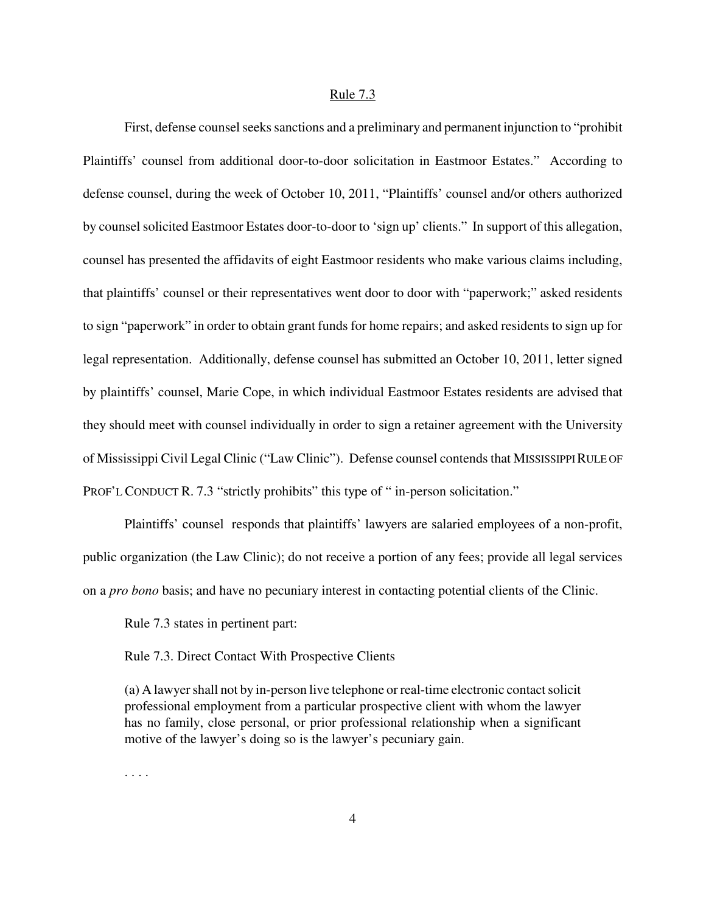#### Rule 7.3

First, defense counsel seeks sanctions and a preliminary and permanent injunction to "prohibit" Plaintiffs' counsel from additional door-to-door solicitation in Eastmoor Estates." According to defense counsel, during the week of October 10, 2011, "Plaintiffs' counsel and/or others authorized by counsel solicited Eastmoor Estates door-to-door to 'sign up' clients." In support of this allegation, counsel has presented the affidavits of eight Eastmoor residents who make various claims including, that plaintiffs' counsel or their representatives went door to door with "paperwork;" asked residents to sign "paperwork" in order to obtain grant funds for home repairs; and asked residents to sign up for legal representation. Additionally, defense counsel has submitted an October 10, 2011, letter signed by plaintiffs' counsel, Marie Cope, in which individual Eastmoor Estates residents are advised that they should meet with counsel individually in order to sign a retainer agreement with the University of Mississippi Civil Legal Clinic ("Law Clinic"). Defense counsel contends that MISSISSIPPI RULE OF PROF'L CONDUCT R. 7.3 "strictly prohibits" this type of " in-person solicitation."

Plaintiffs' counsel responds that plaintiffs' lawyers are salaried employees of a non-profit, public organization (the Law Clinic); do not receive a portion of any fees; provide all legal services on a *pro bono* basis; and have no pecuniary interest in contacting potential clients of the Clinic.

Rule 7.3 states in pertinent part:

Rule 7.3. Direct Contact With Prospective Clients

(a) A lawyer shall not by in-person live telephone or real-time electronic contact solicit professional employment from a particular prospective client with whom the lawyer has no family, close personal, or prior professional relationship when a significant motive of the lawyer's doing so is the lawyer's pecuniary gain.

. . . .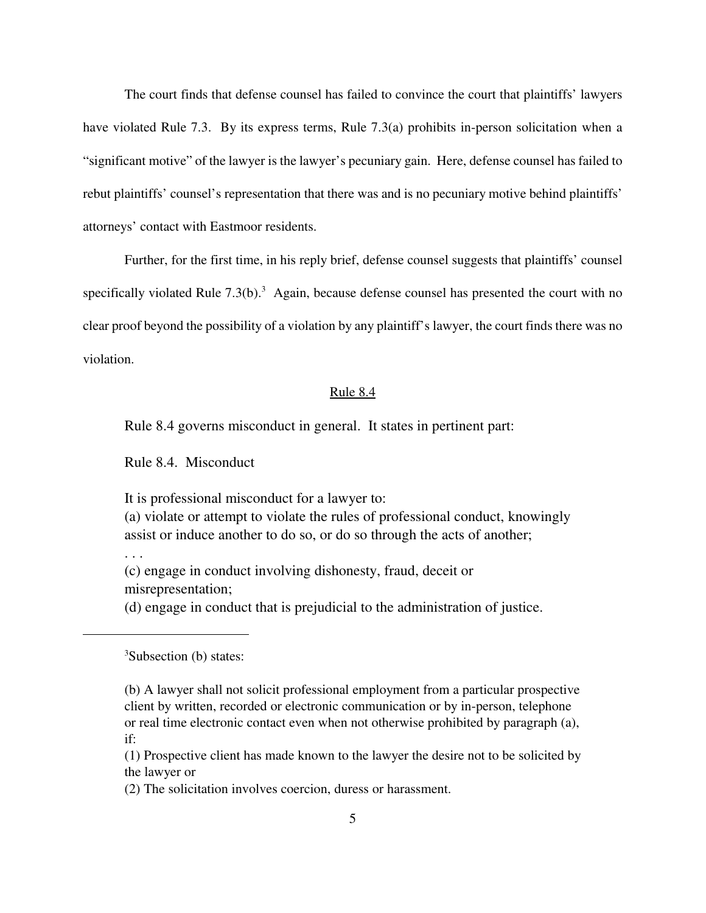The court finds that defense counsel has failed to convince the court that plaintiffs' lawyers have violated Rule 7.3. By its express terms, Rule 7.3(a) prohibits in-person solicitation when a "significant motive" of the lawyer is the lawyer's pecuniary gain. Here, defense counsel has failed to rebut plaintiffs' counsel's representation that there was and is no pecuniary motive behind plaintiffs' attorneys' contact with Eastmoor residents.

Further, for the first time, in his reply brief, defense counsel suggests that plaintiffs' counsel specifically violated Rule  $7.3(b)$ .<sup>3</sup> Again, because defense counsel has presented the court with no clear proof beyond the possibility of a violation by any plaintiff's lawyer, the court finds there was no violation.

## Rule 8.4

Rule 8.4 governs misconduct in general. It states in pertinent part:

Rule 8.4. Misconduct

It is professional misconduct for a lawyer to:

(a) violate or attempt to violate the rules of professional conduct, knowingly assist or induce another to do so, or do so through the acts of another;

. . .

(c) engage in conduct involving dishonesty, fraud, deceit or misrepresentation;

(d) engage in conduct that is prejudicial to the administration of justice.

<sup>&</sup>lt;sup>3</sup>Subsection (b) states:

<sup>(</sup>b) A lawyer shall not solicit professional employment from a particular prospective client by written, recorded or electronic communication or by in-person, telephone or real time electronic contact even when not otherwise prohibited by paragraph (a), if:

<sup>(1)</sup> Prospective client has made known to the lawyer the desire not to be solicited by the lawyer or

<sup>(2)</sup> The solicitation involves coercion, duress or harassment.